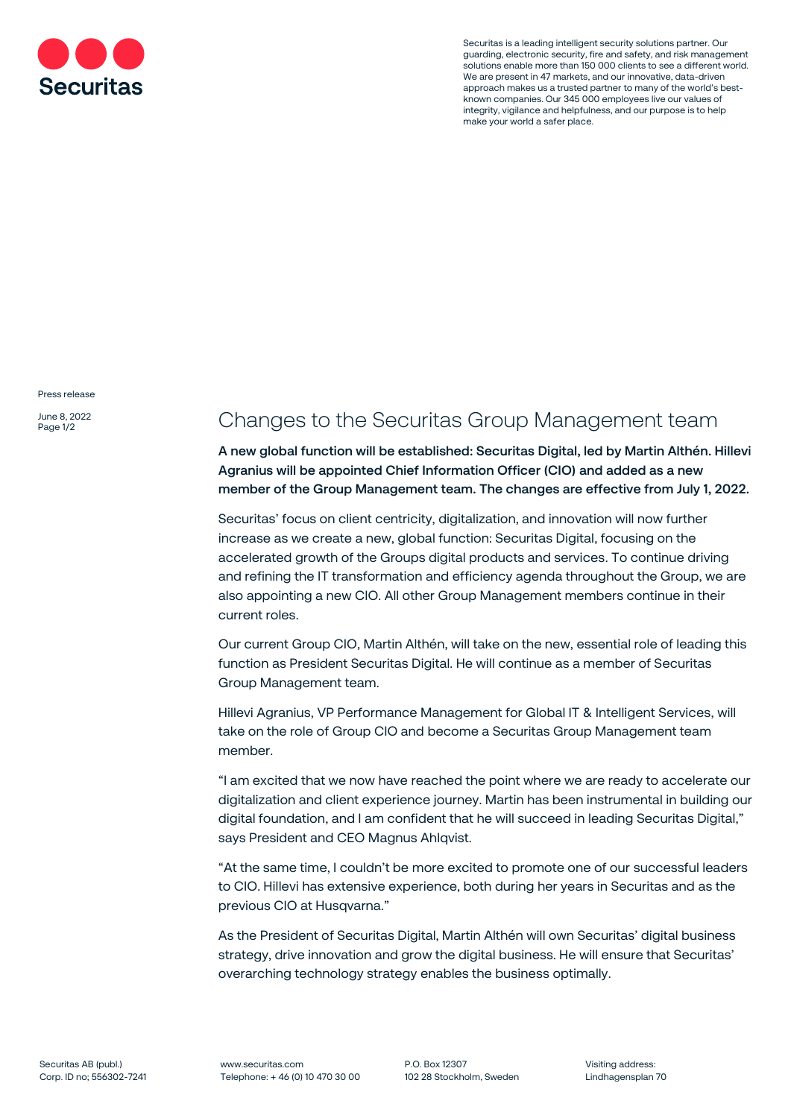

Securitas is a leading intelligent security solutions partner. Our guarding, electronic security, fire and safety, and risk management solutions enable more than 150 000 clients to see a different world. We are present in 47 markets, and our innovative, data-driven approach makes us a trusted partner to many of the world's bestknown companies. Our 345 000 employees live our values of integrity, vigilance and helpfulness, and our purpose is to help make your world a safer place.

Press release

June 8, 2022 Page 1/2

## Changes to the Securitas Group Management team

**A new global function will be established: Securitas Digital, led by Martin Althén. Hillevi Agranius will be appointed Chief Information Officer (CIO) and added as a new member of the Group Management team. The changes are effective from July 1, 2022.**

Securitas' focus on client centricity, digitalization, and innovation will now further increase as we create a new, global function: Securitas Digital, focusing on the accelerated growth of the Groups digital products and services. To continue driving and refining the IT transformation and efficiency agenda throughout the Group, we are also appointing a new CIO. All other Group Management members continue in their current roles.

Our current Group CIO, Martin Althén, will take on the new, essential role of leading this function as President Securitas Digital. He will continue as a member of Securitas Group Management team.

Hillevi Agranius, VP Performance Management for Global IT & Intelligent Services, will take on the role of Group CIO and become a Securitas Group Management team member.

"I am excited that we now have reached the point where we are ready to accelerate our digitalization and client experience journey. Martin has been instrumental in building our digital foundation, and I am confident that he will succeed in leading Securitas Digital," says President and CEO Magnus Ahlqvist.

"At the same time, I couldn't be more excited to promote one of our successful leaders to CIO. Hillevi has extensive experience, both during her years in Securitas and as the previous CIO at Husqvarna."

As the President of Securitas Digital, Martin Althén will own Securitas' digital business strategy, drive innovation and grow the digital business. He will ensure that Securitas' overarching technology strategy enables the business optimally.